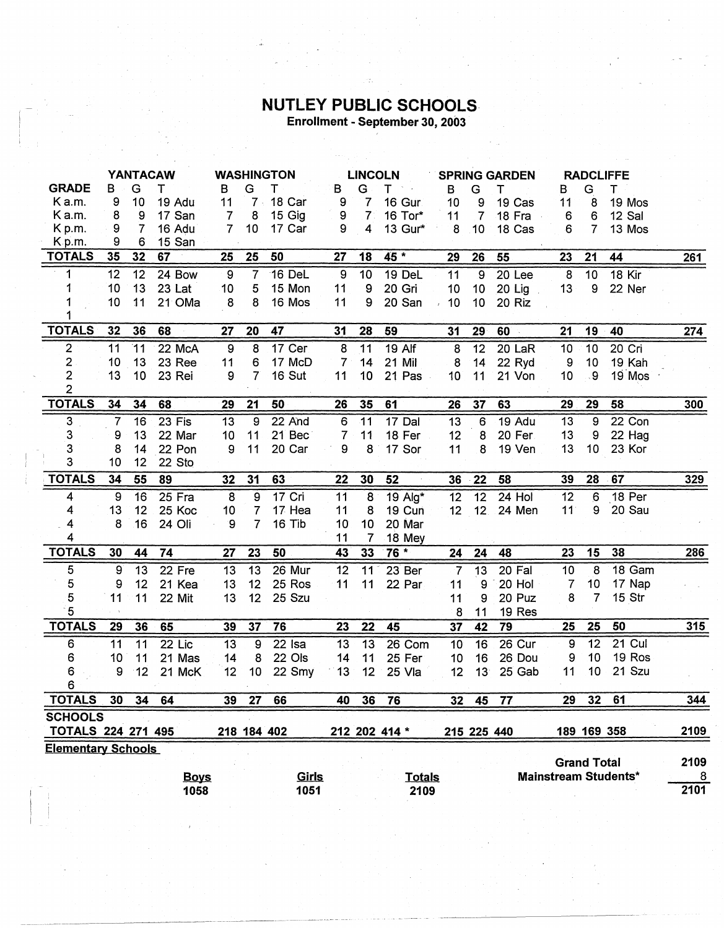## **NUTLEY PUBLIC SCHOOLS**<br>Enrollment - September 30, 2003

وأنكر ومعد

|                           | <b>YANTACAW</b> |    |             | <b>WASHINGTON</b> |                | <b>LINCOLN</b> |                  | <b>SPRING GARDEN</b> |               |                 | <b>RADCLIFFE</b> |          |                    |                 |                             |      |
|---------------------------|-----------------|----|-------------|-------------------|----------------|----------------|------------------|----------------------|---------------|-----------------|------------------|----------|--------------------|-----------------|-----------------------------|------|
| <b>GRADE</b>              | в               | G  | т           | в                 | G              | т              | В                | G                    | т<br>7. LA    | B               | G                | т        | B                  | G               | T.                          |      |
| K a.m.                    | 9               | 10 | 19 Adu      | 11                | $7 \cdot$      | 18 Car         | 9                | $\overline{7}$       | 16 Gur        | 10              | 9                | 19 Cas   | 11                 | 8               | 19 Mos                      |      |
| Ka.m.                     | 8               | 9  | 17 San      | 7                 | 8              | 15 Gig         | 9                | 7 <sup>1</sup>       | 16 Tor*       | 11              | $\overline{7}$   | 18 Fra   | 6                  | 6               | 12 Sal                      |      |
| K p.m.                    | 9               | 7  | 16 Adu      | $\overline{7}$    | 10             | 17 Car         | 9                | 4                    | 13 Gur*       | 8               | 10               | 18 Cas   | 6                  | $\overline{7}$  | 13 Mos                      |      |
| K <sub>p.m.</sub>         | 9               | 6  | 15 San      |                   |                |                |                  |                      |               |                 |                  |          |                    |                 |                             |      |
| <b>TOTALS</b>             | 35              | 32 | 67          | 25                | 25             | 50             | 27               | 18                   | 45 *          | 29              | 26               | 55       | 23                 | 21              | 44                          | 261  |
| 1                         | 12              | 12 | 24 Bow      | 9                 | $\overline{7}$ | 16 DeL         | $\boldsymbol{9}$ | 10                   | 19 DeL        | 11              | 9                | 20 Lee   | 8                  | 10              | 18 Kir                      |      |
| 1                         | 10              | 13 | 23 Lat      | 10                | 5              | 15 Mon         | 11               | 9                    | 20 Gri        | 10              | 10               | 20 Lig   | 13                 | 9               | 22 Ner                      |      |
|                           | 10              | 11 | 21 OMa      | 8                 | 8              | 16 Mos         | 11               | 9                    | 20 San        | 10              | 10               | 20 Riz   |                    |                 |                             |      |
|                           |                 |    |             |                   |                |                |                  |                      |               |                 |                  |          |                    |                 |                             |      |
| <b>TOTALS</b>             | 32              | 36 | 68          | 27                | 20             | 47             | 31               | 28                   | 59            | 31              | 29               | 60       | 21                 | 19              | 40                          | 274  |
| $\overline{\mathbf{c}}$   | 11              | 11 | 22 McA      | $\boldsymbol{9}$  | 8              | 17 Cer         | 8                | 11                   | <b>19 Alf</b> | 8               | 12               | 20 LaR   | 10                 | 10              | 20 Cri                      |      |
| 2                         | 10              | 13 | 23 Ree      | 11                | 6              | 17 McD         | $\overline{7}$   | 14                   | 21 Mil        | 8               | 14               | 22 Ryd   | 9                  | 10              | 19 Kah                      |      |
| $\overline{\mathbf{c}}$   | 13              | 10 | 23 Rei      | 9                 | $\overline{7}$ | 16 Sut         | 11               | 10                   | 21 Pas        | 10              | 11               | 21 Von   | 10                 | . 9             | 19 Mos                      |      |
| $\overline{2}$            |                 |    |             |                   |                |                |                  |                      |               |                 |                  |          |                    |                 |                             |      |
| <b>TOTALS</b>             | 34              | 34 | 68          | 29                | 21             | 50             | 26               | 35                   | 61            | 26              | 37               | 63       | 29                 | 29              | 58                          | 300  |
| 3                         | $\overline{7}$  | 16 | 23 Fis      | 13                | 9              | 22 And         | 6                | 11                   | 17 Dal        | 13              | 6                | 19 Adu   | 13                 | 9               | 22 Con                      |      |
| 3                         | 9               | 13 | 22 Mar      | 10                | 11             | 21 Bec         | 7                | 11                   | 18 Fer        | 12              | 8                | 20 Fer   | 13                 | 9               | 22 Hag                      |      |
| 3                         | 8               | 14 | 22 Pon      | 9                 | 11             | 20 Car         | 9                | 8                    | 17 Sor        | 11              | 8                | 19 Ven   | 13                 | 10              | 23 Kor                      |      |
| 3                         | 10              | 12 | 22 Sto      |                   |                |                |                  |                      |               |                 |                  |          |                    |                 |                             |      |
| <b>TOTALS</b>             | 34              | 55 | 89          | 32                | 31             | 63             | 22               | 30                   | 52            | 36              | 22               | 58       | 39                 | 28              | 67                          | 329  |
| 4                         | 9               | 16 | $25$ Fra    | $\overline{8}$    | 9              | 17 Cri         | 11               | 8                    | 19 Alg*       | $\overline{12}$ | $\overline{12}$  | $24$ Hol | 12                 | 6               | 18 Per                      |      |
| 4                         | 13              | 12 | 25 Koc      | 10                | 7              | 17 Hea         | 11               | 8                    | 19 Cun        | 12              | 12 <sub>2</sub>  | 24 Men   | 11 <sup>°</sup>    | 9               | 20 Sau                      |      |
| 4                         | 8               | 16 | 24 Oli      | 9                 | 7              | 16 Tib         | 10               | 10 <sup>°</sup>      | 20 Mar        |                 |                  |          |                    |                 |                             |      |
| 4                         |                 |    |             |                   |                |                | 11               | 7                    | 18 Mey        |                 |                  |          |                    |                 |                             |      |
| <b>TOTALS</b>             | 30              | 44 | 74          | 27                | 23             | 50             | 43               | 33                   | $76 *$        | 24              | 24               | 48       | 23                 | 15              | 38                          | 286  |
| 5                         | 9               | 13 | 22 Fre      | 13                | 13             | 26 Mur         | 12               | 11                   | 23 Ber        | $\overline{7}$  | 13               | 20 Fal   | 10                 | 8               | 18 Gam                      |      |
| 5                         | 9               | 12 | 21 Kea      | 13                | 12             | 25 Ros         | 11               | 11                   | 22 Par        | 11              | 9                | 20 Hol   | $\overline{7}$     | 10              | 17 Nap                      |      |
| 5                         | 11              | 11 | 22 Mit      | 13                | 12             | 25 Szu         |                  |                      |               | 11              | 9                | 20 Puz   | 8                  | $\overline{7}$  | 15 Str                      |      |
| 5                         |                 |    |             |                   |                |                |                  |                      |               | 8               | 11               | 19 Res   |                    |                 |                             |      |
| <b>TOTALS</b>             | 29              | 36 | 65          | 39                | 37             | 76             | 23               | 22                   | 45            | 37              | 42               | 79       | 25                 | 25              | 50                          | 315  |
| 6                         | 11              | 11 | 22 Lic      | 13                | 9              | $22$ Isa       | 13               | 13                   | 26 Com        | 10              | 16               | 26 Cur   | 9                  | 12              | 21 Cul                      |      |
| 6                         | 10              | 11 | 21 Mas      | 14                | 8              | 22 Ols         | 14               | 11                   | 25 Fer        | 10              | 16               | 26 Dou   | 9                  | 10              | 19 Ros                      |      |
| 6                         | 9               | 12 | 21 McK      | 12                | 10             | 22 Smy         | 13               | 12 <sup>2</sup>      | 25 Vla        | 12              | 13               | 25 Gab   | 11                 | 10              | 21 Szu                      |      |
| 6                         |                 |    |             |                   |                |                |                  |                      |               |                 |                  |          |                    |                 |                             |      |
| <b>TOTALS</b>             | 30              | 34 | 64          | 39                | 27             | 66             | 40               | 36                   | 76            | 32              | 45               | 77       | 29                 | 32 <sub>2</sub> | 61                          | 344  |
| <b>SCHOOLS</b>            |                 |    |             |                   |                |                |                  |                      |               |                 |                  |          |                    |                 |                             |      |
| TOTALS 224 271 495        |                 |    |             |                   |                | 218 184 402    |                  |                      | 212 202 414 * |                 | 215 225 440      |          |                    |                 | 189 169 358                 | 2109 |
| <b>Elementary Schools</b> |                 |    |             |                   |                |                |                  |                      |               |                 |                  |          |                    |                 |                             |      |
|                           |                 |    |             |                   |                |                |                  |                      |               |                 |                  |          | <b>Grand Total</b> |                 |                             | 2109 |
|                           |                 |    | <b>Boys</b> |                   |                | <b>Girls</b>   |                  |                      | <b>Totals</b> |                 |                  |          |                    |                 | <b>Mainstream Students*</b> | 8    |
|                           |                 |    | 1058        |                   |                | 1051           |                  |                      | 2109          |                 |                  |          |                    |                 |                             | 2101 |